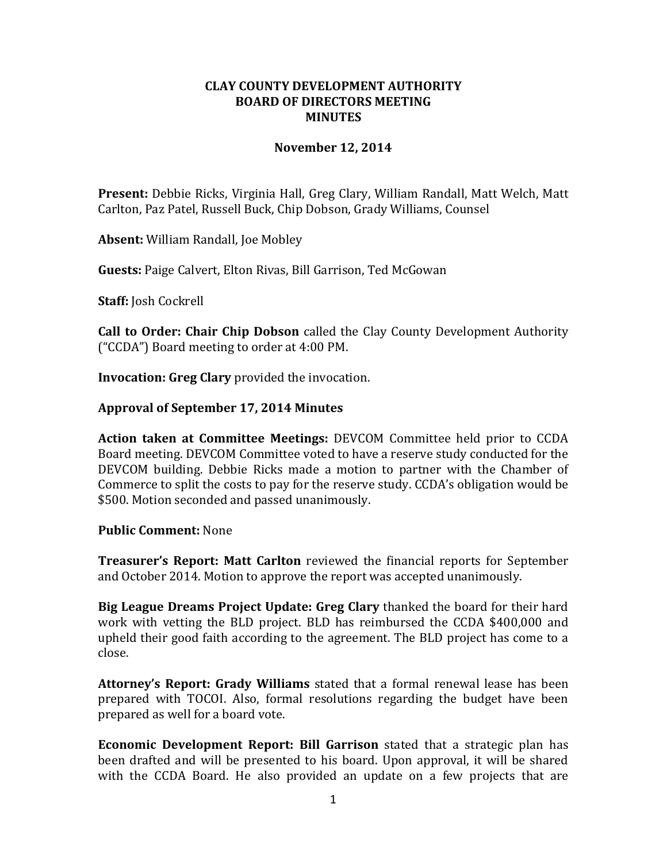# **CLAY COUNTY DEVELOPMENT AUTHORITY BOARD OF DIRECTORS MEETING MINUTES**

# **November 12, 2014**

**Present:** Debbie Ricks, Virginia Hall, Greg Clary, William Randall, Matt Welch, Matt Carlton, Paz Patel, Russell Buck, Chip Dobson, Grady Williams, Counsel

**Absent:** William Randall, Joe Mobley

**Guests:** Paige Calvert, Elton Rivas, Bill Garrison, Ted McGowan

**Staff:** Josh Cockrell

**Call to Order: Chair Chip Dobson** called the Clay County Development Authority ("CCDA") Board meeting to order at 4:00 PM.

**Invocation: Greg Clary** provided the invocation.

### **Approval of September 17, 2014 Minutes**

**Action taken at Committee Meetings:** DEVCOM Committee held prior to CCDA Board meeting. DEVCOM Committee voted to have a reserve study conducted for the DEVCOM building. Debbie Ricks made a motion to partner with the Chamber of Commerce to split the costs to pay for the reserve study. CCDA's obligation would be \$500. Motion seconded and passed unanimously.

#### **Public Comment:** None

**Treasurer's Report: Matt Carlton** reviewed the financial reports for September and October 2014. Motion to approve the report was accepted unanimously.

**Big League Dreams Project Update: Greg Clary** thanked the board for their hard work with vetting the BLD project. BLD has reimbursed the CCDA \$400,000 and upheld their good faith according to the agreement. The BLD project has come to a close.

**Attorney's Report: Grady Williams** stated that a formal renewal lease has been prepared with TOCOI. Also, formal resolutions regarding the budget have been prepared as well for a board vote.

**Economic Development Report: Bill Garrison** stated that a strategic plan has been drafted and will be presented to his board. Upon approval, it will be shared with the CCDA Board. He also provided an update on a few projects that are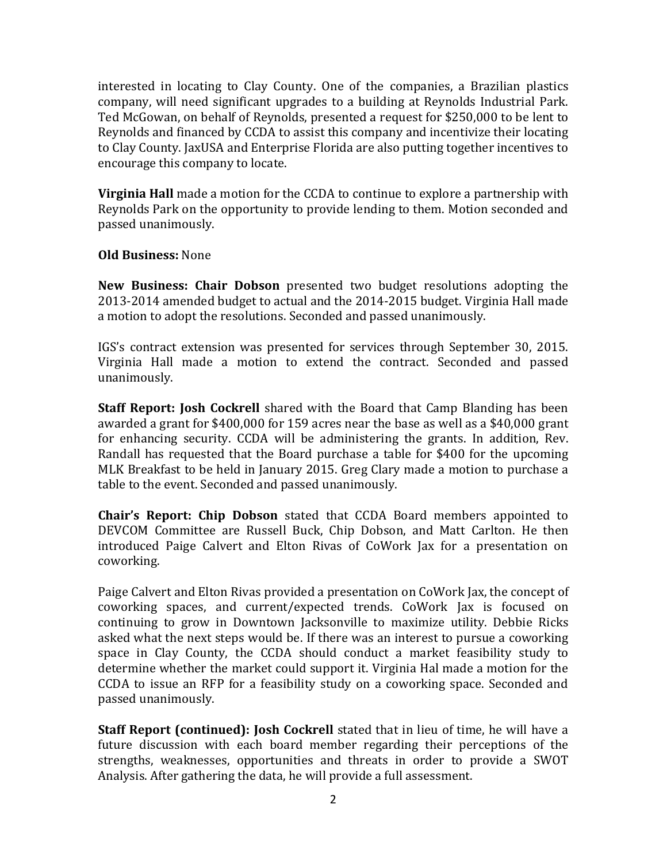interested in locating to Clay County. One of the companies, a Brazilian plastics company, will need significant upgrades to a building at Reynolds Industrial Park. Ted McGowan, on behalf of Reynolds, presented a request for \$250,000 to be lent to Reynolds and financed by CCDA to assist this company and incentivize their locating to Clay County. JaxUSA and Enterprise Florida are also putting together incentives to encourage this company to locate.

**Virginia Hall** made a motion for the CCDA to continue to explore a partnership with Reynolds Park on the opportunity to provide lending to them. Motion seconded and passed unanimously.

# **Old Business:** None

**New Business: Chair Dobson** presented two budget resolutions adopting the 2013-2014 amended budget to actual and the 2014-2015 budget. Virginia Hall made a motion to adopt the resolutions. Seconded and passed unanimously.

IGS's contract extension was presented for services through September 30, 2015. Virginia Hall made a motion to extend the contract. Seconded and passed unanimously.

**Staff Report: Josh Cockrell** shared with the Board that Camp Blanding has been awarded a grant for \$400,000 for 159 acres near the base as well as a \$40,000 grant for enhancing security. CCDA will be administering the grants. In addition, Rev. Randall has requested that the Board purchase a table for \$400 for the upcoming MLK Breakfast to be held in January 2015. Greg Clary made a motion to purchase a table to the event. Seconded and passed unanimously.

**Chair's Report: Chip Dobson** stated that CCDA Board members appointed to DEVCOM Committee are Russell Buck, Chip Dobson, and Matt Carlton. He then introduced Paige Calvert and Elton Rivas of CoWork Jax for a presentation on coworking.

Paige Calvert and Elton Rivas provided a presentation on CoWork Jax, the concept of coworking spaces, and current/expected trends. CoWork Jax is focused on continuing to grow in Downtown Jacksonville to maximize utility. Debbie Ricks asked what the next steps would be. If there was an interest to pursue a coworking space in Clay County, the CCDA should conduct a market feasibility study to determine whether the market could support it. Virginia Hal made a motion for the CCDA to issue an RFP for a feasibility study on a coworking space. Seconded and passed unanimously.

**Staff Report (continued): Josh Cockrell** stated that in lieu of time, he will have a future discussion with each board member regarding their perceptions of the strengths, weaknesses, opportunities and threats in order to provide a SWOT Analysis. After gathering the data, he will provide a full assessment.